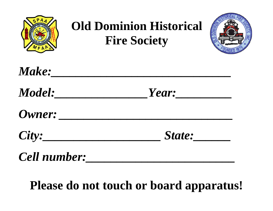

## **Please do not touch or board apparatus!**